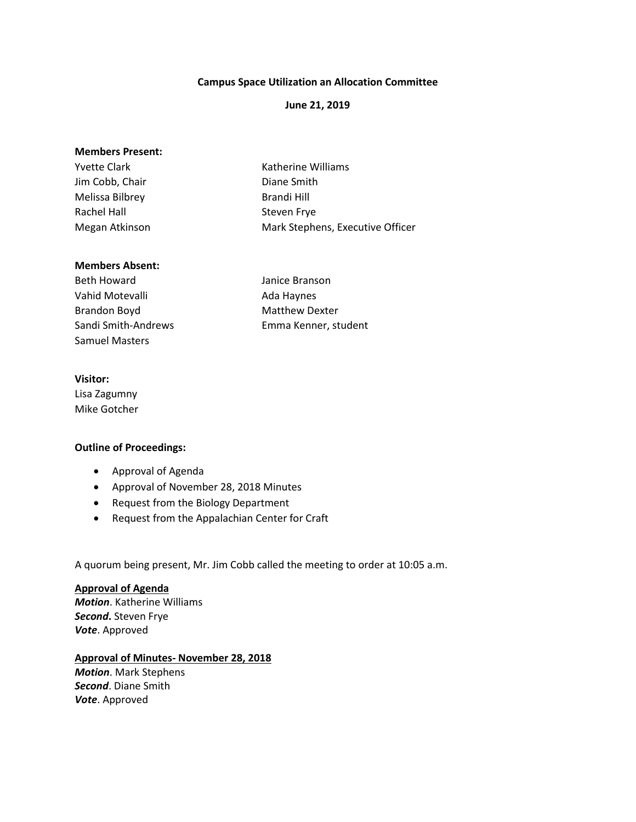## **Campus Space Utilization an Allocation Committee**

## **June 21, 2019**

| Katherine Williams               |
|----------------------------------|
| Diane Smith                      |
| Brandi Hill                      |
| Steven Frye                      |
| Mark Stephens, Executive Officer |
|                                  |

#### **Members Absent:**

Beth Howard **International Communist Communist Communist Communist Communist Communist Communist Communist Communist Communist Communist Communist Communist Communist Communist Communist Communist Communist Communist Commu** Vahid Motevalli **Ada Haynes** Brandon Boyd Matthew Dexter Samuel Masters

Sandi Smith-Andrews Emma Kenner, student

## **Visitor:**

Lisa Zagumny Mike Gotcher

#### **Outline of Proceedings:**

- Approval of Agenda
- Approval of November 28, 2018 Minutes
- Request from the Biology Department
- Request from the Appalachian Center for Craft

A quorum being present, Mr. Jim Cobb called the meeting to order at 10:05 a.m.

# **Approval of Agenda** *Motion*. Katherine Williams *Second***.** Steven Frye *Vote*. Approved

### **Approval of Minutes- November 28, 2018**

*Motion*. Mark Stephens *Second*. Diane Smith *Vote*. Approved